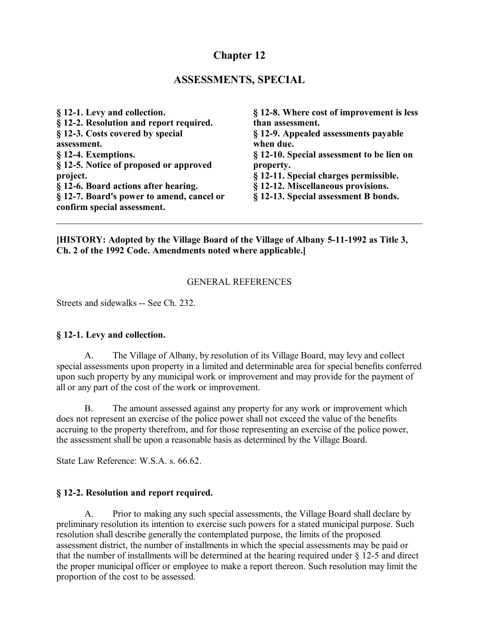# **Chapter 12**

## **ASSESSMENTS, SPECIAL**

**§ 12-1. Levy and collection. § 12-2. Resolution and report required. § 12-3. Costs covered by special assessment. § 12-4. Exemptions. § 12-5. Notice of proposed or approved project. § 12-6. Board actions after hearing. § 12-7. Board's power to amend, cancel or confirm special assessment.**

**§ 12-8. Where cost of improvement is less than assessment. § 12-9. Appealed assessments payable when due. § 12-10. Special assessment to be lien on property. § 12-11. Special charges permissible. § 12-12. Miscellaneous provisions. § 12-13. Special assessment B bonds.**

**[HISTORY: Adopted by the Village Board of the Village of Albany 5-11-1992 as Title 3, Ch. 2 of the 1992 Code. Amendments noted where applicable.]**

### GENERAL REFERENCES

Streets and sidewalks -- See Ch. 232.

### **§ 12-1. Levy and collection.**

A. The Village of Albany, by resolution of its Village Board, may levy and collect special assessments upon property in a limited and determinable area for special benefits conferred upon such property by any municipal work or improvement and may provide for the payment of all or any part of the cost of the work or improvement.

B. The amount assessed against any property for any work or improvement which does not represent an exercise of the police power shall not exceed the value of the benefits accruing to the property therefrom, and for those representing an exercise of the police power, the assessment shall be upon a reasonable basis as determined by the Village Board.

State Law Reference: W.S.A. s. 66.62.

#### **§ 12-2. Resolution and report required.**

A. Prior to making any such special assessments, the Village Board shall declare by preliminary resolution its intention to exercise such powers for a stated municipal purpose. Such resolution shall describe generally the contemplated purpose, the limits of the proposed assessment district, the number of installments in which the special assessments may be paid or that the number of installments will be determined at the hearing required under § 12-5 and direct the proper municipal officer or employee to make a report thereon. Such resolution may limit the proportion of the cost to be assessed.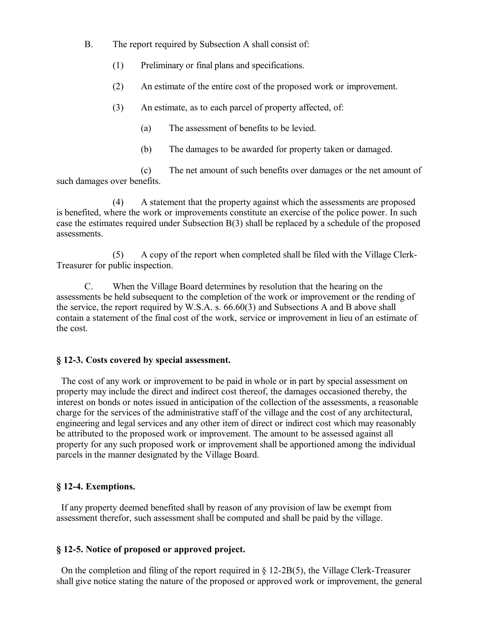- B. The report required by Subsection A shall consist of:
	- (1) Preliminary or final plans and specifications.
	- (2) An estimate of the entire cost of the proposed work or improvement.
	- (3) An estimate, as to each parcel of property affected, of:
		- (a) The assessment of benefits to be levied.
		- (b) The damages to be awarded for property taken or damaged.

(c) The net amount of such benefits over damages or the net amount of such damages over benefits.

(4) A statement that the property against which the assessments are proposed is benefited, where the work or improvements constitute an exercise of the police power. In such case the estimates required under Subsection B(3) shall be replaced by a schedule of the proposed assessments.

(5) A copy of the report when completed shall be filed with the Village Clerk-Treasurer for public inspection.

C. When the Village Board determines by resolution that the hearing on the assessments be held subsequent to the completion of the work or improvement or the rending of the service, the report required by W.S.A. s. 66.60(3) and Subsections A and B above shall contain a statement of the final cost of the work, service or improvement in lieu of an estimate of the cost.

#### **§ 12-3. Costs covered by special assessment.**

 The cost of any work or improvement to be paid in whole or in part by special assessment on property may include the direct and indirect cost thereof, the damages occasioned thereby, the interest on bonds or notes issued in anticipation of the collection of the assessments, a reasonable charge for the services of the administrative staff of the village and the cost of any architectural, engineering and legal services and any other item of direct or indirect cost which may reasonably be attributed to the proposed work or improvement. The amount to be assessed against all property for any such proposed work or improvement shall be apportioned among the individual parcels in the manner designated by the Village Board.

#### **§ 12-4. Exemptions.**

 If any property deemed benefited shall by reason of any provision of law be exempt from assessment therefor, such assessment shall be computed and shall be paid by the village.

#### **§ 12-5. Notice of proposed or approved project.**

On the completion and filing of the report required in  $\S 12{\text -}2B(5)$ , the Village Clerk-Treasurer shall give notice stating the nature of the proposed or approved work or improvement, the general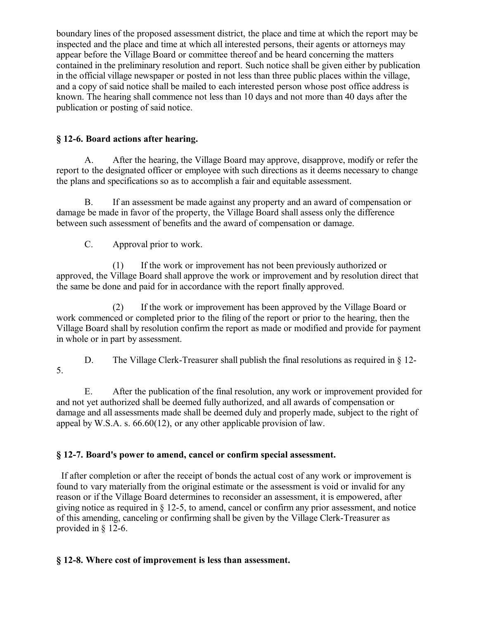boundary lines of the proposed assessment district, the place and time at which the report may be inspected and the place and time at which all interested persons, their agents or attorneys may appear before the Village Board or committee thereof and be heard concerning the matters contained in the preliminary resolution and report. Such notice shall be given either by publication in the official village newspaper or posted in not less than three public places within the village, and a copy of said notice shall be mailed to each interested person whose post office address is known. The hearing shall commence not less than 10 days and not more than 40 days after the publication or posting of said notice.

### **§ 12-6. Board actions after hearing.**

A. After the hearing, the Village Board may approve, disapprove, modify or refer the report to the designated officer or employee with such directions as it deems necessary to change the plans and specifications so as to accomplish a fair and equitable assessment.

B. If an assessment be made against any property and an award of compensation or damage be made in favor of the property, the Village Board shall assess only the difference between such assessment of benefits and the award of compensation or damage.

C. Approval prior to work.

(1) If the work or improvement has not been previously authorized or approved, the Village Board shall approve the work or improvement and by resolution direct that the same be done and paid for in accordance with the report finally approved.

(2) If the work or improvement has been approved by the Village Board or work commenced or completed prior to the filing of the report or prior to the hearing, then the Village Board shall by resolution confirm the report as made or modified and provide for payment in whole or in part by assessment.

D. The Village Clerk-Treasurer shall publish the final resolutions as required in  $\S$  12-5.

E. After the publication of the final resolution, any work or improvement provided for and not yet authorized shall be deemed fully authorized, and all awards of compensation or damage and all assessments made shall be deemed duly and properly made, subject to the right of appeal by W.S.A. s. 66.60(12), or any other applicable provision of law.

## **§ 12-7. Board's power to amend, cancel or confirm special assessment.**

 If after completion or after the receipt of bonds the actual cost of any work or improvement is found to vary materially from the original estimate or the assessment is void or invalid for any reason or if the Village Board determines to reconsider an assessment, it is empowered, after giving notice as required in § 12-5, to amend, cancel or confirm any prior assessment, and notice of this amending, canceling or confirming shall be given by the Village Clerk-Treasurer as provided in § 12-6.

## **§ 12-8. Where cost of improvement is less than assessment.**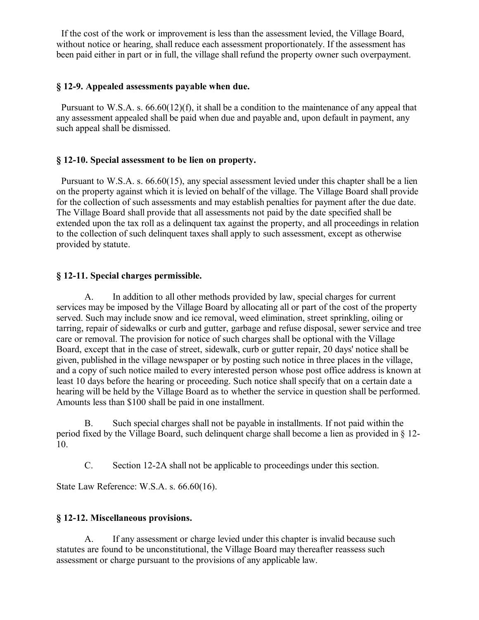If the cost of the work or improvement is less than the assessment levied, the Village Board, without notice or hearing, shall reduce each assessment proportionately. If the assessment has been paid either in part or in full, the village shall refund the property owner such overpayment.

### **§ 12-9. Appealed assessments payable when due.**

 Pursuant to W.S.A. s. 66.60(12)(f), it shall be a condition to the maintenance of any appeal that any assessment appealed shall be paid when due and payable and, upon default in payment, any such appeal shall be dismissed.

### **§ 12-10. Special assessment to be lien on property.**

 Pursuant to W.S.A. s. 66.60(15), any special assessment levied under this chapter shall be a lien on the property against which it is levied on behalf of the village. The Village Board shall provide for the collection of such assessments and may establish penalties for payment after the due date. The Village Board shall provide that all assessments not paid by the date specified shall be extended upon the tax roll as a delinquent tax against the property, and all proceedings in relation to the collection of such delinquent taxes shall apply to such assessment, except as otherwise provided by statute.

### **§ 12-11. Special charges permissible.**

A. In addition to all other methods provided by law, special charges for current services may be imposed by the Village Board by allocating all or part of the cost of the property served. Such may include snow and ice removal, weed elimination, street sprinkling, oiling or tarring, repair of sidewalks or curb and gutter, garbage and refuse disposal, sewer service and tree care or removal. The provision for notice of such charges shall be optional with the Village Board, except that in the case of street, sidewalk, curb or gutter repair, 20 days' notice shall be given, published in the village newspaper or by posting such notice in three places in the village, and a copy of such notice mailed to every interested person whose post office address is known at least 10 days before the hearing or proceeding. Such notice shall specify that on a certain date a hearing will be held by the Village Board as to whether the service in question shall be performed. Amounts less than \$100 shall be paid in one installment.

B. Such special charges shall not be payable in installments. If not paid within the period fixed by the Village Board, such delinquent charge shall become a lien as provided in § 12- 10.

C. Section 12-2A shall not be applicable to proceedings under this section.

State Law Reference: W.S.A. s. 66.60(16).

### **§ 12-12. Miscellaneous provisions.**

A. If any assessment or charge levied under this chapter is invalid because such statutes are found to be unconstitutional, the Village Board may thereafter reassess such assessment or charge pursuant to the provisions of any applicable law.